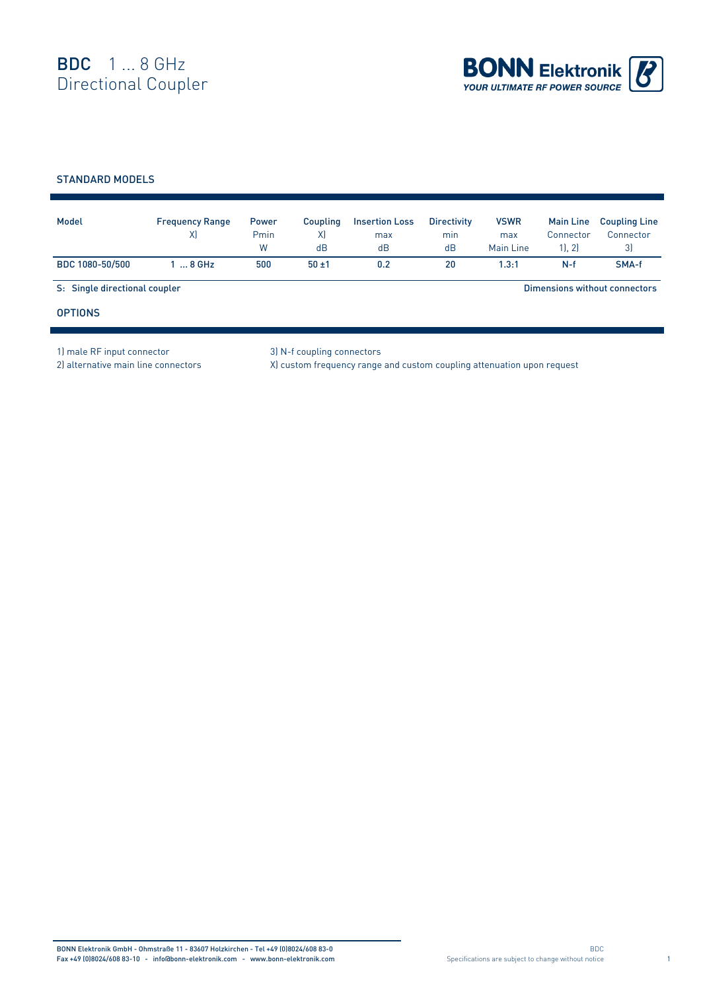

## STANDARD MODELS

| Model                         | <b>Frequency Range</b><br>X | <b>Power</b><br>Pmin<br>W | Coupling<br>X)<br>dB | <b>Insertion Loss</b><br>max<br>dB | <b>Directivity</b><br>min<br>dB | <b>VSWR</b><br>max<br>Main Line | <b>Main Line</b><br>Connector<br>1, 2 | <b>Coupling Line</b><br>Connector<br>3) |
|-------------------------------|-----------------------------|---------------------------|----------------------|------------------------------------|---------------------------------|---------------------------------|---------------------------------------|-----------------------------------------|
| BDC 1080-50/500               | $8$ GHz                     | 500                       | $50 + 1$             | 0.2                                | 20                              | 1.3:1                           | $N-f$                                 | SMA-f                                   |
| S: Single directional coupler |                             |                           |                      |                                    |                                 |                                 |                                       | Dimensions without connectors           |
| <b>OPTIONS</b>                |                             |                           |                      |                                    |                                 |                                 |                                       |                                         |

1) male RF input connector 3) N-f coupling connectors

2) alternative main line connectors X) custom frequency range and custom coupling attenuation upon request